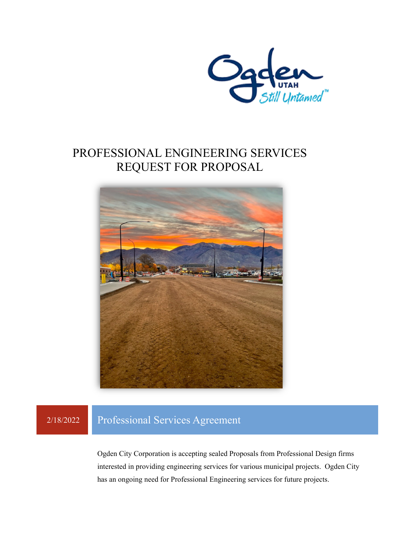

## PROFESSIONAL ENGINEERING SERVICES REQUEST FOR PROPOSAL



### 2/18/2022 Professional Services Agreement

Ogden City Corporation is accepting sealed Proposals from Professional Design firms interested in providing engineering services for various municipal projects. Ogden City has an ongoing need for Professional Engineering services for future projects.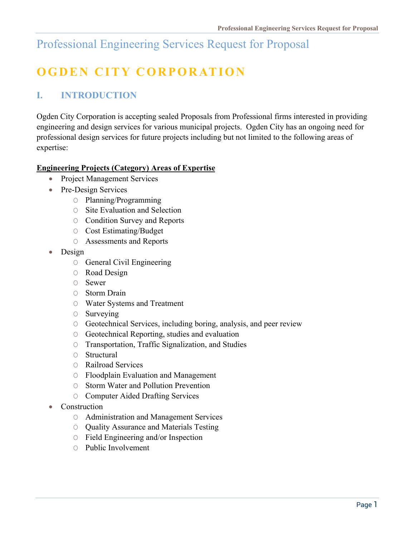# **OGDEN CITY CORPORATION**

### **I. INTRODUCTION**

Ogden City Corporation is accepting sealed Proposals from Professional firms interested in providing engineering and design services for various municipal projects. Ogden City has an ongoing need for professional design services for future projects including but not limited to the following areas of expertise:

### **Engineering Projects (Category) Areas of Expertise**

- Project Management Services
- Pre-Design Services
	- O Planning/Programming
	- O Site Evaluation and Selection
	- O Condition Survey and Reports
	- O Cost Estimating/Budget
	- O Assessments and Reports
- Design
	- O General Civil Engineering
	- O Road Design
	- O Sewer
	- O Storm Drain
	- O Water Systems and Treatment
	- O Surveying
	- O Geotechnical Services, including boring, analysis, and peer review
	- O Geotechnical Reporting, studies and evaluation
	- O Transportation, Traffic Signalization, and Studies
	- O Structural
	- O Railroad Services
	- O Floodplain Evaluation and Management
	- O Storm Water and Pollution Prevention
	- O Computer Aided Drafting Services
- Construction
	- O Administration and Management Services
	- O Quality Assurance and Materials Testing
	- O Field Engineering and/or Inspection
	- O Public Involvement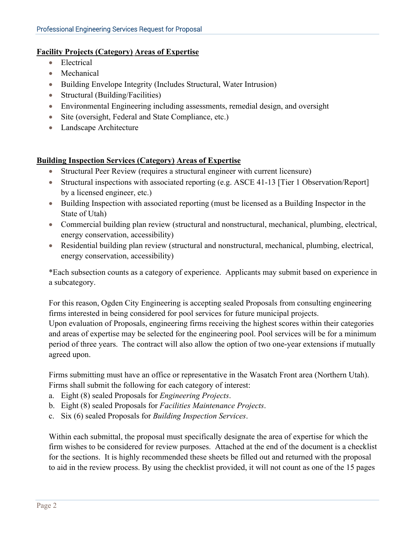#### **Facility Projects (Category) Areas of Expertise**

- Electrical
- Mechanical
- Building Envelope Integrity (Includes Structural, Water Intrusion)
- Structural (Building/Facilities)
- Environmental Engineering including assessments, remedial design, and oversight
- Site (oversight, Federal and State Compliance, etc.)
- Landscape Architecture

#### **Building Inspection Services (Category) Areas of Expertise**

- Structural Peer Review (requires a structural engineer with current licensure)
- Structural inspections with associated reporting (e.g. ASCE 41-13 [Tier 1 Observation/Report] by a licensed engineer, etc.)
- Building Inspection with associated reporting (must be licensed as a Building Inspector in the State of Utah)
- Commercial building plan review (structural and nonstructural, mechanical, plumbing, electrical, energy conservation, accessibility)
- Residential building plan review (structural and nonstructural, mechanical, plumbing, electrical, energy conservation, accessibility)

\*Each subsection counts as a category of experience. Applicants may submit based on experience in a subcategory.

For this reason, Ogden City Engineering is accepting sealed Proposals from consulting engineering firms interested in being considered for pool services for future municipal projects.

Upon evaluation of Proposals, engineering firms receiving the highest scores within their categories and areas of expertise may be selected for the engineering pool. Pool services will be for a minimum period of three years. The contract will also allow the option of two one-year extensions if mutually agreed upon.

Firms submitting must have an office or representative in the Wasatch Front area (Northern Utah). Firms shall submit the following for each category of interest:

- a. Eight (8) sealed Proposals for *Engineering Projects*.
- b. Eight (8) sealed Proposals for *Facilities Maintenance Projects*.
- c. Six (6) sealed Proposals for *Building Inspection Services*.

Within each submittal, the proposal must specifically designate the area of expertise for which the firm wishes to be considered for review purposes. Attached at the end of the document is a checklist for the sections. It is highly recommended these sheets be filled out and returned with the proposal to aid in the review process. By using the checklist provided, it will not count as one of the 15 pages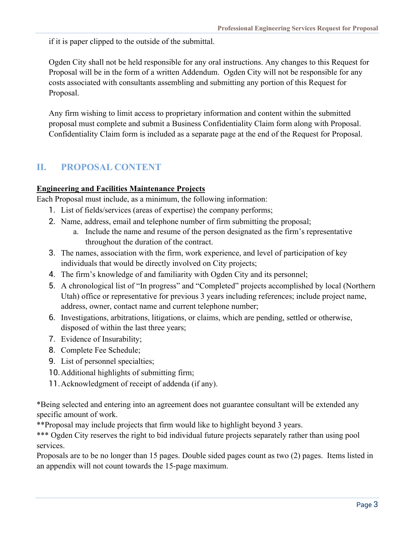if it is paper clipped to the outside of the submittal.

Ogden City shall not be held responsible for any oral instructions. Any changes to this Request for Proposal will be in the form of a written Addendum. Ogden City will not be responsible for any costs associated with consultants assembling and submitting any portion of this Request for Proposal.

Any firm wishing to limit access to proprietary information and content within the submitted proposal must complete and submit a Business Confidentiality Claim form along with Proposal. Confidentiality Claim form is included as a separate page at the end of the Request for Proposal.

### **II. PROPOSAL CONTENT**

### **Engineering and Facilities Maintenance Projects**

Each Proposal must include, as a minimum, the following information:

- 1. List of fields/services (areas of expertise) the company performs;
- 2. Name, address, email and telephone number of firm submitting the proposal;
	- a. Include the name and resume of the person designated as the firm's representative throughout the duration of the contract.
- 3. The names, association with the firm, work experience, and level of participation of key individuals that would be directly involved on City projects;
- 4. The firm's knowledge of and familiarity with Ogden City and its personnel;
- 5. A chronological list of "In progress" and "Completed" projects accomplished by local (Northern Utah) office or representative for previous 3 years including references; include project name, address, owner, contact name and current telephone number;
- 6. Investigations, arbitrations, litigations, or claims, which are pending, settled or otherwise, disposed of within the last three years;
- 7. Evidence of Insurability;
- 8. Complete Fee Schedule;
- 9. List of personnel specialties;
- 10.Additional highlights of submitting firm;
- 11.Acknowledgment of receipt of addenda (if any).

\*Being selected and entering into an agreement does not guarantee consultant will be extended any specific amount of work.

\*\*Proposal may include projects that firm would like to highlight beyond 3 years.

\*\*\* Ogden City reserves the right to bid individual future projects separately rather than using pool services.

Proposals are to be no longer than 15 pages. Double sided pages count as two (2) pages. Items listed in an appendix will not count towards the 15-page maximum.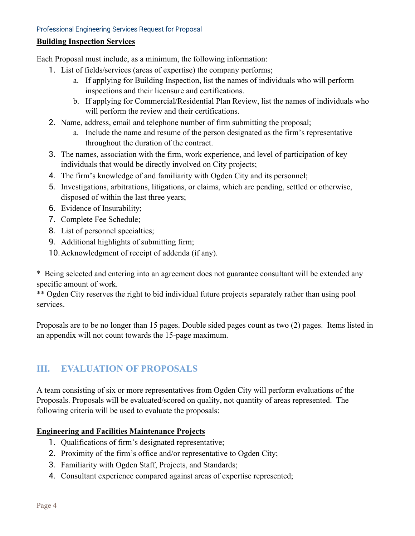#### **Building Inspection Services**

Each Proposal must include, as a minimum, the following information:

- 1. List of fields/services (areas of expertise) the company performs;
	- a. If applying for Building Inspection, list the names of individuals who will perform inspections and their licensure and certifications.
	- b. If applying for Commercial/Residential Plan Review, list the names of individuals who will perform the review and their certifications.
- 2. Name, address, email and telephone number of firm submitting the proposal;
	- a. Include the name and resume of the person designated as the firm's representative throughout the duration of the contract.
- 3. The names, association with the firm, work experience, and level of participation of key individuals that would be directly involved on City projects;
- 4. The firm's knowledge of and familiarity with Ogden City and its personnel;
- 5. Investigations, arbitrations, litigations, or claims, which are pending, settled or otherwise, disposed of within the last three years;
- 6. Evidence of Insurability;
- 7. Complete Fee Schedule;
- 8. List of personnel specialties;
- 9. Additional highlights of submitting firm;
- 10.Acknowledgment of receipt of addenda (if any).

\* Being selected and entering into an agreement does not guarantee consultant will be extended any specific amount of work.

\*\* Ogden City reserves the right to bid individual future projects separately rather than using pool services.

Proposals are to be no longer than 15 pages. Double sided pages count as two (2) pages. Items listed in an appendix will not count towards the 15-page maximum.

### **III. EVALUATION OF PROPOSALS**

A team consisting of six or more representatives from Ogden City will perform evaluations of the Proposals. Proposals will be evaluated/scored on quality, not quantity of areas represented. The following criteria will be used to evaluate the proposals:

#### **Engineering and Facilities Maintenance Projects**

- 1. Qualifications of firm's designated representative;
- 2. Proximity of the firm's office and/or representative to Ogden City;
- 3. Familiarity with Ogden Staff, Projects, and Standards;
- 4. Consultant experience compared against areas of expertise represented;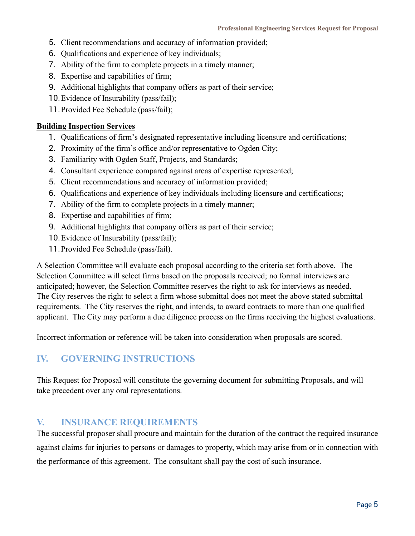- 5. Client recommendations and accuracy of information provided;
- 6. Qualifications and experience of key individuals;
- 7. Ability of the firm to complete projects in a timely manner;
- 8. Expertise and capabilities of firm;
- 9. Additional highlights that company offers as part of their service;
- 10.Evidence of Insurability (pass/fail);
- 11.Provided Fee Schedule (pass/fail);

#### **Building Inspection Services**

- 1. Qualifications of firm's designated representative including licensure and certifications;
- 2. Proximity of the firm's office and/or representative to Ogden City;
- 3. Familiarity with Ogden Staff, Projects, and Standards;
- 4. Consultant experience compared against areas of expertise represented;
- 5. Client recommendations and accuracy of information provided;
- 6. Qualifications and experience of key individuals including licensure and certifications;
- 7. Ability of the firm to complete projects in a timely manner;
- 8. Expertise and capabilities of firm;
- 9. Additional highlights that company offers as part of their service;
- 10.Evidence of Insurability (pass/fail);
- 11.Provided Fee Schedule (pass/fail).

A Selection Committee will evaluate each proposal according to the criteria set forth above. The Selection Committee will select firms based on the proposals received; no formal interviews are anticipated; however, the Selection Committee reserves the right to ask for interviews as needed. The City reserves the right to select a firm whose submittal does not meet the above stated submittal requirements. The City reserves the right, and intends, to award contracts to more than one qualified applicant. The City may perform a due diligence process on the firms receiving the highest evaluations.

Incorrect information or reference will be taken into consideration when proposals are scored.

### **IV. GOVERNING INSTRUCTIONS**

This Request for Proposal will constitute the governing document for submitting Proposals, and will take precedent over any oral representations.

### **V. INSURANCE REQUIREMENTS**

The successful proposer shall procure and maintain for the duration of the contract the required insurance against claims for injuries to persons or damages to property, which may arise from or in connection with the performance of this agreement. The consultant shall pay the cost of such insurance.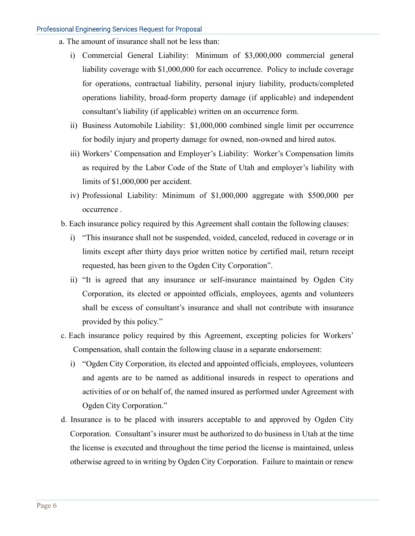- a. The amount of insurance shall not be less than:
	- i) Commercial General Liability: Minimum of \$3,000,000 commercial general liability coverage with \$1,000,000 for each occurrence. Policy to include coverage for operations, contractual liability, personal injury liability, products/completed operations liability, broad-form property damage (if applicable) and independent consultant's liability (if applicable) written on an occurrence form.
	- ii) Business Automobile Liability: \$1,000,000 combined single limit per occurrence for bodily injury and property damage for owned, non-owned and hired autos.
	- iii) Workers' Compensation and Employer's Liability: Worker's Compensation limits as required by the Labor Code of the State of Utah and employer's liability with limits of \$1,000,000 per accident.
	- iv) Professional Liability: Minimum of \$1,000,000 aggregate with \$500,000 per occurrence .
- b. Each insurance policy required by this Agreement shall contain the following clauses:
	- i) "This insurance shall not be suspended, voided, canceled, reduced in coverage or in limits except after thirty days prior written notice by certified mail, return receipt requested, has been given to the Ogden City Corporation".
	- ii) "It is agreed that any insurance or self-insurance maintained by Ogden City Corporation, its elected or appointed officials, employees, agents and volunteers shall be excess of consultant's insurance and shall not contribute with insurance provided by this policy."
- c. Each insurance policy required by this Agreement, excepting policies for Workers' Compensation, shall contain the following clause in a separate endorsement:
	- i) "Ogden City Corporation, its elected and appointed officials, employees, volunteers and agents are to be named as additional insureds in respect to operations and activities of or on behalf of, the named insured as performed under Agreement with Ogden City Corporation."
- d. Insurance is to be placed with insurers acceptable to and approved by Ogden City Corporation. Consultant's insurer must be authorized to do business in Utah at the time the license is executed and throughout the time period the license is maintained, unless otherwise agreed to in writing by Ogden City Corporation. Failure to maintain or renew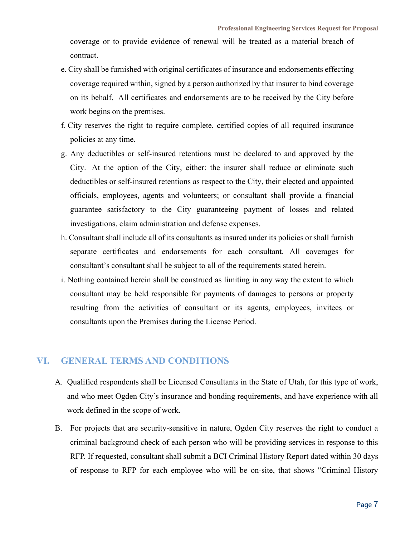coverage or to provide evidence of renewal will be treated as a material breach of contract.

- e. City shall be furnished with original certificates of insurance and endorsements effecting coverage required within, signed by a person authorized by that insurer to bind coverage on its behalf. All certificates and endorsements are to be received by the City before work begins on the premises.
- f. City reserves the right to require complete, certified copies of all required insurance policies at any time.
- g. Any deductibles or self-insured retentions must be declared to and approved by the City. At the option of the City, either: the insurer shall reduce or eliminate such deductibles or self-insured retentions as respect to the City, their elected and appointed officials, employees, agents and volunteers; or consultant shall provide a financial guarantee satisfactory to the City guaranteeing payment of losses and related investigations, claim administration and defense expenses.
- h. Consultant shall include all of its consultants as insured under its policies or shall furnish separate certificates and endorsements for each consultant. All coverages for consultant's consultant shall be subject to all of the requirements stated herein.
- i. Nothing contained herein shall be construed as limiting in any way the extent to which consultant may be held responsible for payments of damages to persons or property resulting from the activities of consultant or its agents, employees, invitees or consultants upon the Premises during the License Period.

#### **VI. GENERAL TERMS AND CONDITIONS**

- A. Qualified respondents shall be Licensed Consultants in the State of Utah, for this type of work, and who meet Ogden City's insurance and bonding requirements, and have experience with all work defined in the scope of work.
- B. For projects that are security-sensitive in nature, Ogden City reserves the right to conduct a criminal background check of each person who will be providing services in response to this RFP. If requested, consultant shall submit a BCI Criminal History Report dated within 30 days of response to RFP for each employee who will be on-site, that shows "Criminal History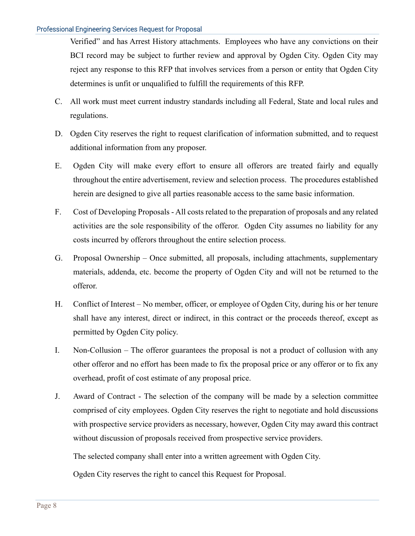Verified" and has Arrest History attachments. Employees who have any convictions on their BCI record may be subject to further review and approval by Ogden City. Ogden City may reject any response to this RFP that involves services from a person or entity that Ogden City determines is unfit or unqualified to fulfill the requirements of this RFP.

- C. All work must meet current industry standards including all Federal, State and local rules and regulations.
- D. Ogden City reserves the right to request clarification of information submitted, and to request additional information from any proposer.
- E. Ogden City will make every effort to ensure all offerors are treated fairly and equally throughout the entire advertisement, review and selection process. The procedures established herein are designed to give all parties reasonable access to the same basic information.
- F. Cost of Developing Proposals All costs related to the preparation of proposals and any related activities are the sole responsibility of the offeror. Ogden City assumes no liability for any costs incurred by offerors throughout the entire selection process.
- G. Proposal Ownership Once submitted, all proposals, including attachments, supplementary materials, addenda, etc. become the property of Ogden City and will not be returned to the offeror.
- H. Conflict of Interest No member, officer, or employee of Ogden City, during his or her tenure shall have any interest, direct or indirect, in this contract or the proceeds thereof, except as permitted by Ogden City policy.
- I. Non-Collusion The offeror guarantees the proposal is not a product of collusion with any other offeror and no effort has been made to fix the proposal price or any offeror or to fix any overhead, profit of cost estimate of any proposal price.
- J. Award of Contract The selection of the company will be made by a selection committee comprised of city employees. Ogden City reserves the right to negotiate and hold discussions with prospective service providers as necessary, however, Ogden City may award this contract without discussion of proposals received from prospective service providers.

The selected company shall enter into a written agreement with Ogden City.

Ogden City reserves the right to cancel this Request for Proposal.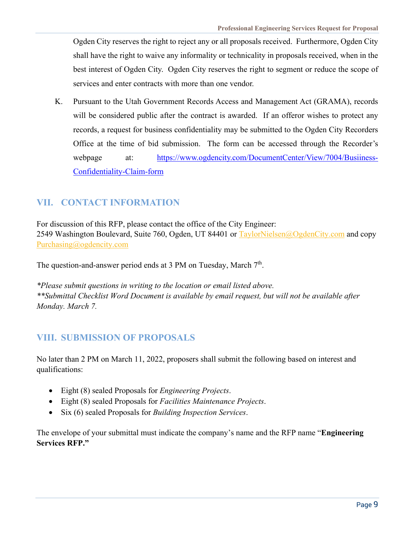Ogden City reserves the right to reject any or all proposals received. Furthermore, Ogden City shall have the right to waive any informality or technicality in proposals received, when in the best interest of Ogden City. Ogden City reserves the right to segment or reduce the scope of services and enter contracts with more than one vendor.

K. Pursuant to the Utah Government Records Access and Management Act (GRAMA), records will be considered public after the contract is awarded. If an offeror wishes to protect any records, a request for business confidentiality may be submitted to the Ogden City Recorders Office at the time of bid submission. The form can be accessed through the Recorder's webpage at: https://www.ogdencity.com/DocumentCenter/View/7004/Busiiness-Confidentiality-Claim-form

### **VII. CONTACT INFORMATION**

For discussion of this RFP, please contact the office of the City Engineer: 2549 Washington Boulevard, Suite 760, Ogden, UT 84401 or TaylorNielsen@OgdenCity.com and copy Purchasing@ogdencity.com

The question-and-answer period ends at 3 PM on Tuesday, March 7<sup>th</sup>.

*\*Please submit questions in writing to the location or email listed above. \*\*Submittal Checklist Word Document is available by email request, but will not be available after Monday. March 7.* 

### **VIII. SUBMISSION OF PROPOSALS**

No later than 2 PM on March 11, 2022, proposers shall submit the following based on interest and qualifications:

- Eight (8) sealed Proposals for *Engineering Projects*.
- Eight (8) sealed Proposals for *Facilities Maintenance Projects*.
- Six (6) sealed Proposals for *Building Inspection Services*.

The envelope of your submittal must indicate the company's name and the RFP name "**Engineering Services RFP."**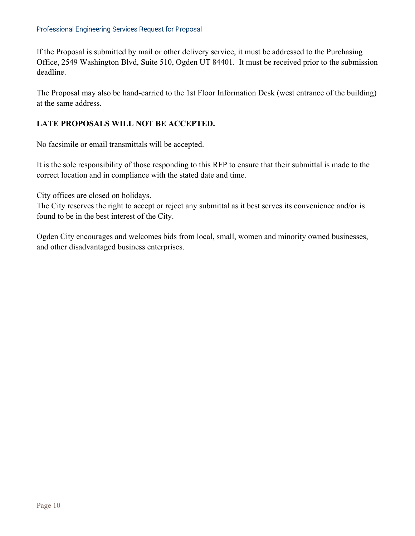If the Proposal is submitted by mail or other delivery service, it must be addressed to the Purchasing Office, 2549 Washington Blvd, Suite 510, Ogden UT 84401. It must be received prior to the submission deadline.

The Proposal may also be hand-carried to the 1st Floor Information Desk (west entrance of the building) at the same address.

#### **LATE PROPOSALS WILL NOT BE ACCEPTED.**

No facsimile or email transmittals will be accepted.

It is the sole responsibility of those responding to this RFP to ensure that their submittal is made to the correct location and in compliance with the stated date and time.

City offices are closed on holidays.

The City reserves the right to accept or reject any submittal as it best serves its convenience and/or is found to be in the best interest of the City.

Ogden City encourages and welcomes bids from local, small, women and minority owned businesses, and other disadvantaged business enterprises.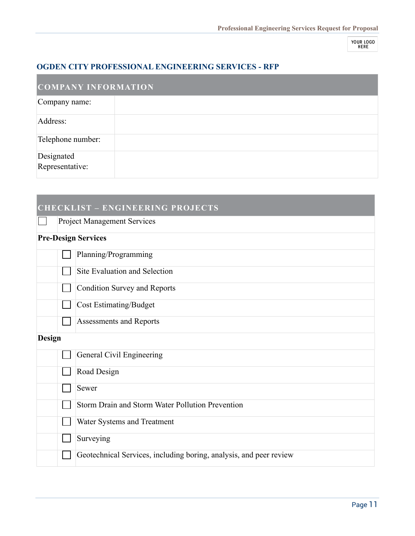YOUR LOGO<br>HERE

### **OGDEN CITY PROFESSIONAL ENGINEERING SERVICES - RFP**

| <b>COMPANY INFORMATION</b>    |  |
|-------------------------------|--|
| Company name:                 |  |
| Address:                      |  |
| Telephone number:             |  |
| Designated<br>Representative: |  |

### **CHECKLIST – ENGINEERING PROJECTS**

**Project Management Services** 

### **Pre-Design Services**

|               | Planning/Programming                                               |
|---------------|--------------------------------------------------------------------|
|               | Site Evaluation and Selection                                      |
|               | <b>Condition Survey and Reports</b>                                |
|               | <b>Cost Estimating/Budget</b>                                      |
|               | Assessments and Reports                                            |
| <b>Design</b> |                                                                    |
|               | General Civil Engineering                                          |
|               | Road Design                                                        |
|               | Sewer                                                              |
|               | Storm Drain and Storm Water Pollution Prevention                   |
|               | Water Systems and Treatment                                        |
|               | Surveying                                                          |
|               | Geotechnical Services, including boring, analysis, and peer review |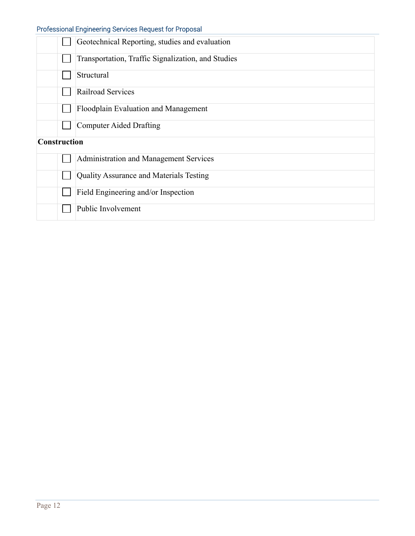|                     | Geotechnical Reporting, studies and evaluation     |
|---------------------|----------------------------------------------------|
|                     | Transportation, Traffic Signalization, and Studies |
|                     | Structural                                         |
|                     | Railroad Services                                  |
|                     | Floodplain Evaluation and Management               |
|                     | Computer Aided Drafting                            |
| <b>Construction</b> |                                                    |
|                     | Administration and Management Services             |
|                     | Quality Assurance and Materials Testing            |
|                     | Field Engineering and/or Inspection                |
|                     | Public Involvement                                 |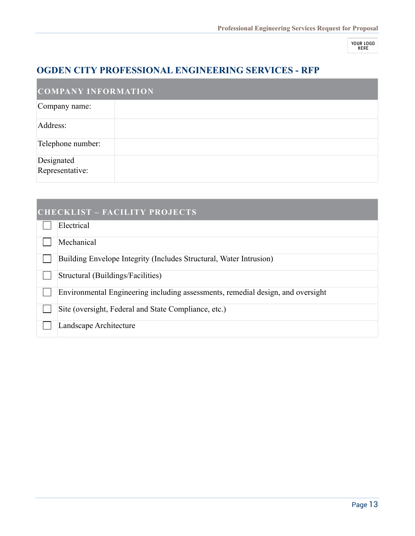**YOUR LOGO**<br>HERE

### **OGDEN CITY PROFESSIONAL ENGINEERING SERVICES - RFP**

| <b>COMPANY INFORMATION</b>    |  |  |
|-------------------------------|--|--|
| Company name:                 |  |  |
| Address:                      |  |  |
| Telephone number:             |  |  |
| Designated<br>Representative: |  |  |

| <b>CHECKLIST - FACILITY PROJECTS</b> |                                                                                 |
|--------------------------------------|---------------------------------------------------------------------------------|
|                                      | Electrical                                                                      |
|                                      | Mechanical                                                                      |
|                                      | Building Envelope Integrity (Includes Structural, Water Intrusion)              |
|                                      | Structural (Buildings/Facilities)                                               |
|                                      | Environmental Engineering including assessments, remedial design, and oversight |
|                                      | Site (oversight, Federal and State Compliance, etc.)                            |
|                                      | Landscape Architecture                                                          |